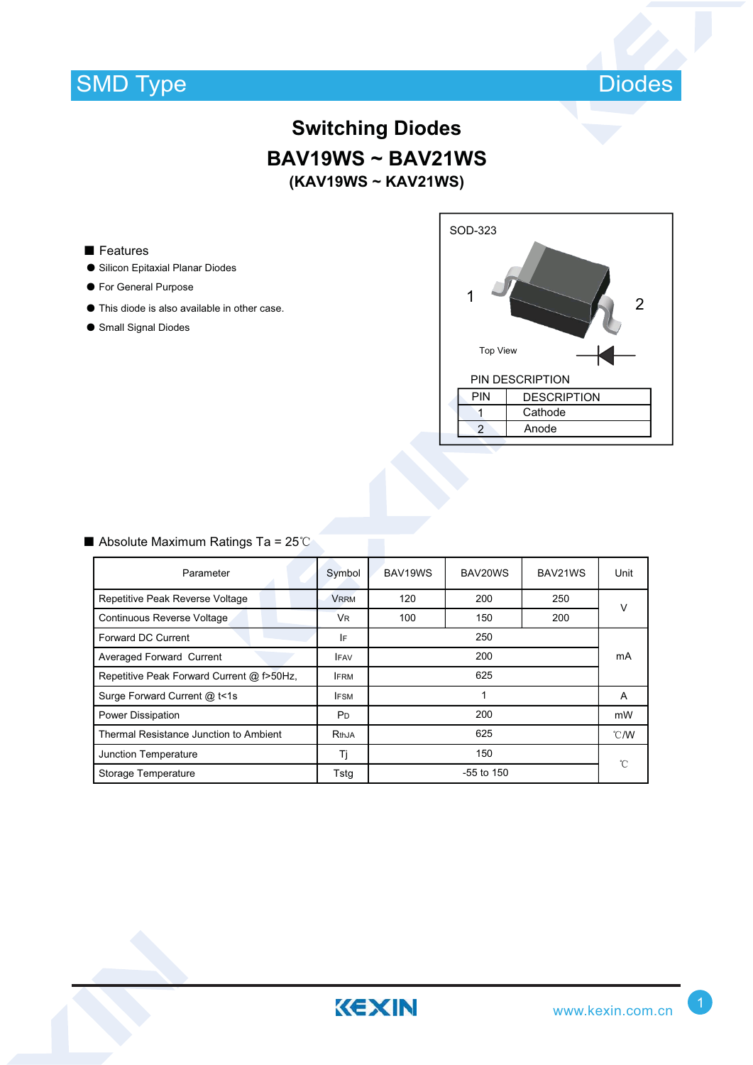# SMD Type



### **Switching Diodes BAV19WS ~ BAV21WS (KAV19WS ~ KAV21WS)**

#### ■ Features

- ƽ Silicon Epitaxial Planar Diodes
- ƽ For General Purpose
- ƽ This diode is also available in other case.
- ƽ Small Signal Diodes



#### $\blacksquare$  Absolute Maximum Ratings Ta = 25°C

| Parameter                                 | Symbol         | BAV19WS      | BAV20WS | BAV21WS | Unit           |  |  |
|-------------------------------------------|----------------|--------------|---------|---------|----------------|--|--|
| Repetitive Peak Reverse Voltage           | <b>VRRM</b>    | 120          | 200     | 250     | $\vee$         |  |  |
| Continuous Reverse Voltage                | <b>VR</b>      | 100          | 150     | 200     |                |  |  |
| Forward DC Current                        | IF             | 250          |         |         | mA             |  |  |
| Averaged Forward Current                  | <b>IFAV</b>    | 200          |         |         |                |  |  |
| Repetitive Peak Forward Current @ f>50Hz, | <b>IFRM</b>    | 625          |         |         |                |  |  |
| Surge Forward Current @ t<1s              | <b>IFSM</b>    | 1            |         |         | A              |  |  |
| <b>Power Dissipation</b>                  | P <sub>D</sub> | 200          |         |         | mW             |  |  |
| Thermal Resistance Junction to Ambient    | <b>RthJA</b>   | 625          |         |         | $^{\circ}$ C/W |  |  |
| Junction Temperature                      | Tj             | 150          |         |         | °C             |  |  |
| Storage Temperature                       | Tstg           | $-55$ to 150 |         |         |                |  |  |

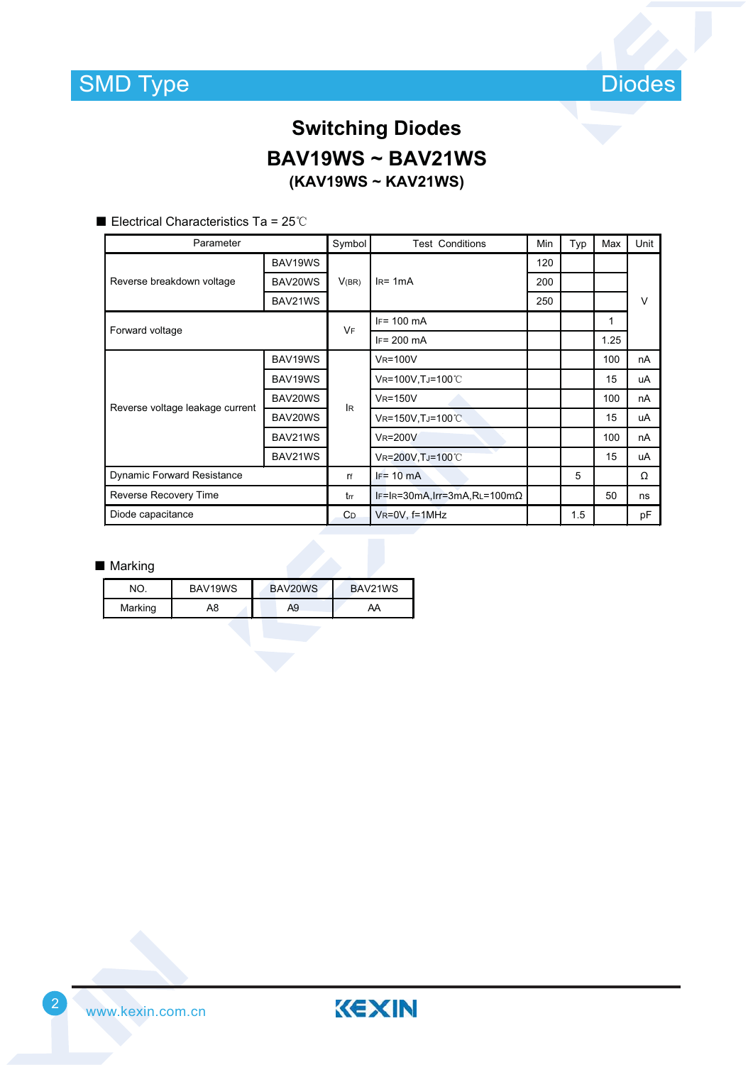

## **Switching Diodes BAV19WS ~ BAV21WS (KAV19WS ~ KAV21WS)**

Electrical Characteristics Ta =  $25^{\circ}$ C

| Parameter                         |         | Symbol    | <b>Test Conditions</b>              | Min | Typ | Max  | Unit   |
|-----------------------------------|---------|-----------|-------------------------------------|-----|-----|------|--------|
| Reverse breakdown voltage         | BAV19WS | V(BR)     | $IR = 1mA$                          | 120 |     |      |        |
|                                   | BAV20WS |           |                                     | 200 |     |      |        |
|                                   | BAV21WS |           |                                     | 250 |     |      | $\vee$ |
| Forward voltage                   |         | <b>VF</b> | $IF = 100$ mA                       |     |     | 1    |        |
|                                   |         |           | $IF = 200 \text{ mA}$               |     |     | 1.25 |        |
| Reverse voltage leakage current   | BAV19WS | lR.       | <b>VR=100V</b>                      |     |     | 100  | nA     |
|                                   | BAV19WS |           | VR=100V, TJ=100°C                   |     |     | 15   | uA     |
|                                   | BAV20WS |           | <b>VR=150V</b>                      |     |     | 100  | nA     |
|                                   | BAV20WS |           | VR=150V, TJ=100°C                   |     |     | 15   | uA     |
|                                   | BAV21WS |           | <b>VR=200V</b>                      |     |     | 100  | nA     |
|                                   | BAV21WS |           | VR=200V, TJ=100°C                   |     |     | 15   | uA     |
| <b>Dynamic Forward Resistance</b> |         | rf        | $IF = 10 mA$                        |     | 5   |      | Ω      |
| Reverse Recovery Time             |         | trr       | $IF=IR=30mA, Irr=3mA,RL=100m\Omega$ |     |     | 50   | ns     |
| Diode capacitance                 |         | CD.       | VR=0V, f=1MHz                       |     | 1.5 |      | рF     |

#### ■ Marking

| חר      | BAV19WS | BAV20WS | BAV21WS |
|---------|---------|---------|---------|
| Marking | A8      | Α9      | АА      |

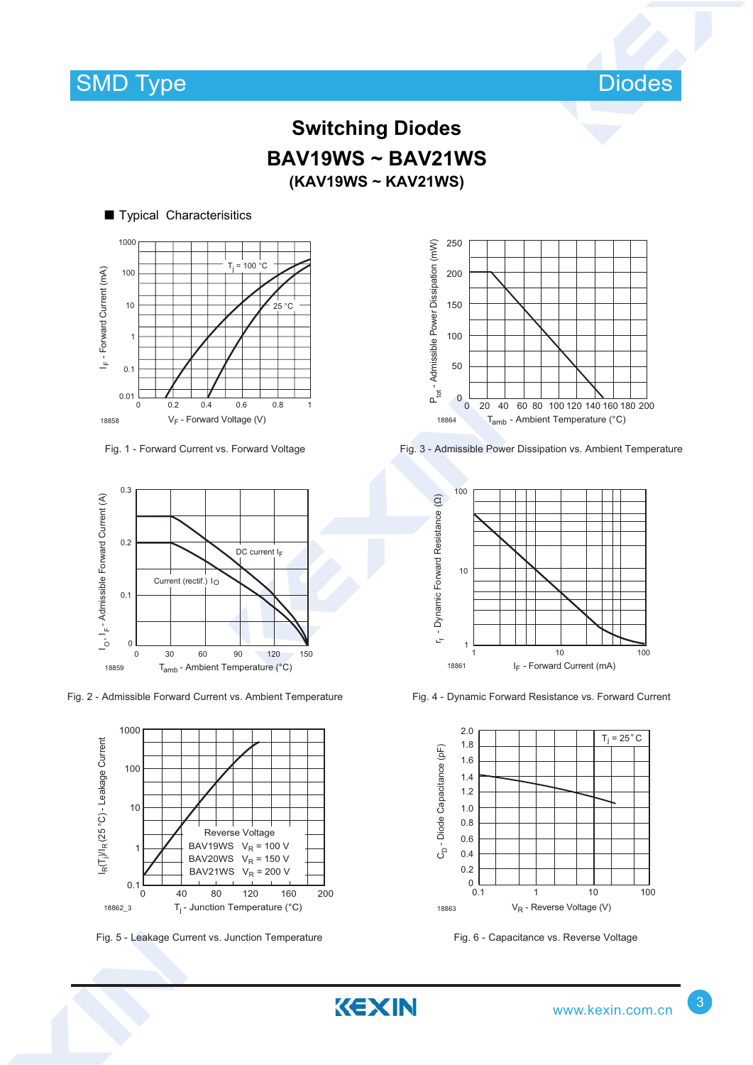

### **Switching Diodes BAV19WS ~ BAV21WS (KAV19WS ~ KAV21WS)**

KEXIN

### ■ Typical Characterisitics



Fig. 1 - Forward Current vs. Forward Voltage



Fig. 2 - Admissible Forward Current vs. Ambient Temperature



Fig. 5 - Leakage Current vs. Junction Temperature Fig. 6 - Capacitance vs. Reverse Voltage



Fig. 3 - Admissible Power Dissipation vs. Ambient Temperature



Fig. 4 - Dynamic Forward Resistance vs. Forward Current